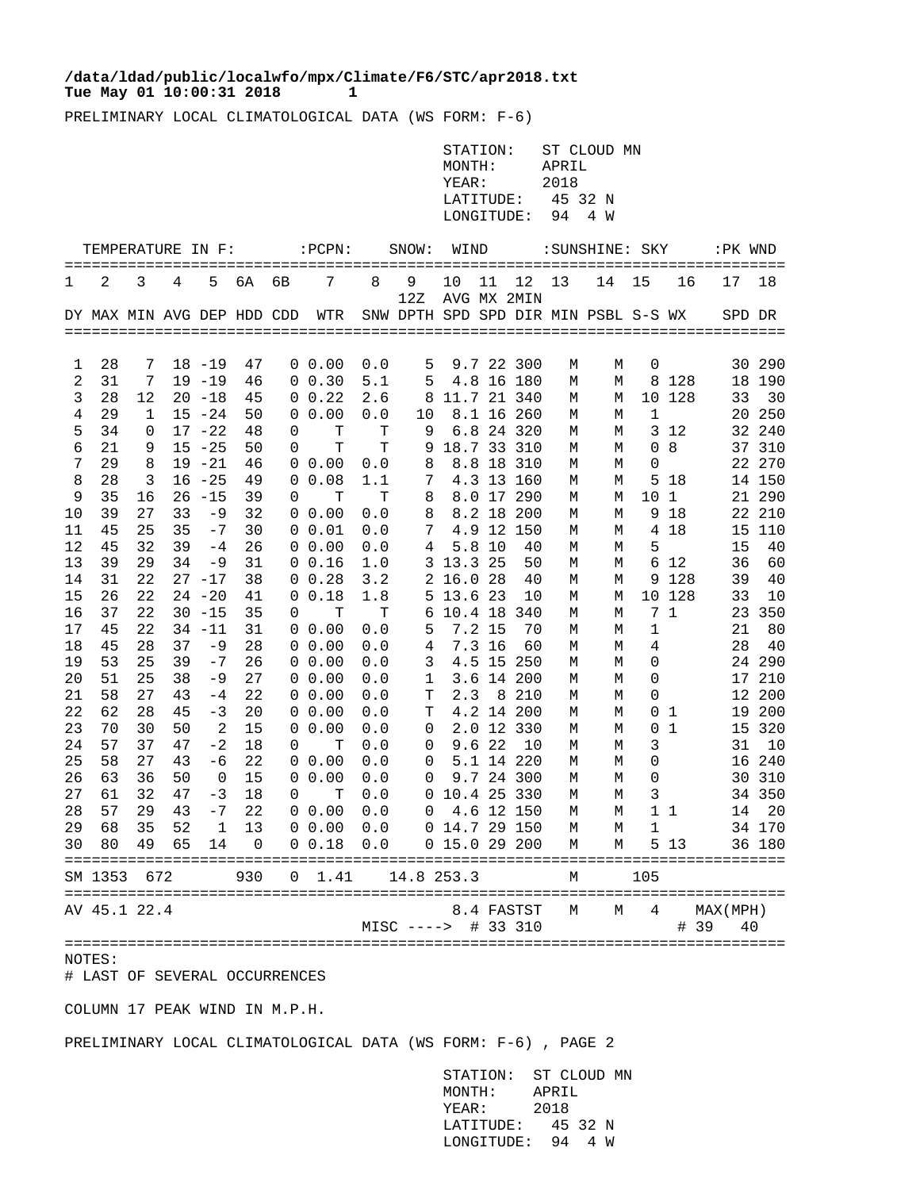## Tue May 01 10:00:31 2018 1 **/data/ldad/public/localwfo/mpx/Climate/F6/STC/apr2018.txt**

PRELIMINARY LOCAL CLIMATOLOGICAL DATA (WS FORM: F-6)

|                   | STATION: ST CLOUD MN |
|-------------------|----------------------|
| MONTH:            | APRIL                |
| YEAR:             | 2018                 |
| LATITUDE: 45 32 N |                      |
| LONGITUDE: 94 4 W |                      |

|          | TEMPERATURE IN F:          |          |          |              |          | ========= | :PCPN:              | =======    | SNOW:                                | WIND              |          | ==========             |        | :SUNSHINE: SKY |                      | =======   | :PK WND              |            |
|----------|----------------------------|----------|----------|--------------|----------|-----------|---------------------|------------|--------------------------------------|-------------------|----------|------------------------|--------|----------------|----------------------|-----------|----------------------|------------|
| 1        | 2                          | 3        | 4        | 5            | 6A       | 6B        | 7                   | 8          | 9<br>12Z                             | 10<br>AVG MX 2MIN | 11       | 12                     | 13     | 14             | 15                   | 16        | 17                   | 18         |
|          | DY MAX MIN AVG DEP HDD CDD |          |          |              |          |           | WTR                 |            | SNW DPTH SPD SPD DIR MIN PSBL S-S WX |                   |          |                        |        |                |                      |           | SPD DR               |            |
|          |                            |          |          |              |          |           |                     |            |                                      |                   |          |                        |        |                |                      |           |                      |            |
| 1        | 28                         | 7        |          | $18 - 19$    | 47       |           | $0\;\;0.00$         | 0.0        | 5                                    |                   |          | 9.7 22 300             | М      | М              | 0                    |           |                      | 30 290     |
| 2        | 31                         | 7        |          | $19 - 19$    | 46       |           | $0 \t0.30$          | 5.1        | 5                                    |                   |          | 4.8 16 180             | М      | М              | 8                    | 128       | 18                   | 190        |
| 3        | 28                         | 12       |          | $20 - 18$    | 45       | 0         | 0.22                | 2.6        | 8                                    | 11.7 21 340       |          |                        | М      | М              |                      | 10 128    | 33                   | 30         |
| 4        | 29                         | 1        |          | $15 - 24$    | 50       | 0         | 0.00                | 0.0        | 10                                   |                   |          | 8.1 16 260             | М      | М              | 1                    |           | 20                   | 250        |
| 5        | 34                         | 0        |          | $17 - 22$    | 48       | 0         | т                   | т          | 9                                    |                   |          | 6.8 24 320             | М      | М              | 3                    | 12        | 32                   | 240        |
| 6        | 21                         | 9        |          | $15 - 25$    | 50       | 0         | T                   | T          | 9                                    | 18.7 33           |          | 310                    | М      | М              | $\Omega$             | 8         | 37                   | 310        |
| 7        | 29                         | 8        |          | $19 - 21$    | 46       | 0         | 0.00                | 0.0        | 8                                    |                   | 8.8 18   | 310                    | М      | М              | $\Omega$             |           | 22                   | 270        |
| 8        | 28                         | 3        |          | $16 - 25$    | 49       | 0         | 0.08                | 1.1        | 7                                    |                   |          | 4.3 13 160             | М      | М              | 5                    | 18        | 14                   | 150        |
| 9        | 35                         | 16       |          | $26 - 15$    | 39       | 0         | т                   | т          | 8                                    |                   |          | 8.0 17 290             | М      | М              | 10                   | 1         | 21                   | 290        |
| 10       | 39                         | 27       | 33       | -9           | 32       | 0         | 0.00                | 0.0        | 8                                    |                   | 8.2 18   | 200                    | М      | М              | 9                    | 18        | 22                   | 210        |
| 11       | 45                         | 25       | 35       | $-7$         | 30       |           | 0 0.01              | 0.0        | 7                                    |                   |          | 4.9 12 150             | М      | М              | 4                    | 18        | 15                   | 110        |
| 12       | 45                         | 32       | 39       | $-4$         | 26       | 0         | 0.00                | 0.0        | 4                                    | 5.8               | 10       | 40                     | М      | М              | 5                    |           | 15                   | 40         |
| 13       | 39                         | 29       | 34       | -9           | 31       |           | 0 0.16              | 1.0        | 3                                    | 13.3              | 25       | 50                     | М      | М              | 6                    | 12        | 36                   | 60         |
| 14       | 31                         | 22       |          | $27 - 17$    | 38       |           | $0\;\;0.28$         | 3.2        | 2                                    | 16.0              | 28       | 40                     | М      | М              |                      | 9 1 2 8   | 39                   | 40         |
| 15       | 26                         | 22       |          | $24 - 20$    | 41       |           | 0 0.18              | 1.8        | 5                                    | 13.6 23           |          | 10                     | М      | М              |                      | 10 128    | 33                   | 10         |
| 16       | 37                         | 22       |          | $30 - 15$    | 35       | 0         | т                   | т          | 6                                    | 10.4 18           |          | 340                    | М      | М              |                      | 71        | 23                   | 350        |
| 17       | 45                         | 22       |          | $34 - 11$    | 31       |           | $0\;\;0.00$         | 0.0        | 5                                    |                   | 7.2 15   | 70                     | М      | М              | 1                    |           | 21                   | 80         |
| 18       | 45                         | 28       | 37       | -9           | 28       |           | $0\;\;0.00$         | 0.0        | 4                                    |                   | 7.3 16   | 60                     | М      | М              | 4                    |           | 28                   | 40         |
| 19       | 53                         | 25       | 39       | $-7$         | 26       | 0         | 0.00                | 0.0        | 3                                    |                   |          | 4.5 15 250             | М      | М              | 0                    |           |                      | 24 290     |
| 20       | 51                         | 25<br>27 | 38       | -9           | 27<br>22 |           | $0\;\;0.00$<br>0.00 | 0.0        | 1                                    |                   | 8        | 3.6 14 200<br>210      | M      | М              | $\Omega$<br>$\Omega$ |           | 17<br>12             | 210<br>200 |
| 21<br>22 | 58<br>62                   | 28       | 43<br>45 | $-4$<br>-3   | 20       | 0         | $0\;\;0.00$         | 0.0<br>0.0 | т<br>T                               | 2.3               |          | 4.2 14 200             | М<br>М | M<br>М         | 0                    | 1         | 19                   | 200        |
| 23       | 70                         | 30       | 50       | 2            | 15       | 0         | 0.00                | 0.0        | 0                                    |                   |          | 2.0 12 330             | М      | М              | 0                    | 1         | 15                   | 320        |
| 24       | 57                         | 37       | 47       | $-2$         | 18       | 0         | T                   | 0.0        | 0                                    |                   | $9.6$ 22 | 10                     | М      | М              | 3                    |           | 31                   | 10         |
| 25       | 58                         | 27       | 43       | -6           | 22       | 0         | 0.00                | 0.0        | 0                                    |                   |          | 5.1 14 220             | М      | М              | 0                    |           | 16                   | 240        |
| 26       | 63                         | 36       | 50       | 0            | 15       | 0         | 0.00                | 0.0        | 0                                    |                   |          | 9.7 24 300             | М      | М              | $\Omega$             |           | 30                   | 310        |
| 27       | 61                         | 32       | 47       | $-3$         | 18       | 0         | T                   | 0.0        | $\Omega$                             | 10.4 25 330       |          |                        | М      | М              | 3                    |           | 34                   | 350        |
| 28       | 57                         | 29       | 43       | $-7$         | 22       |           | $0\;\;0.00$         | 0.0        | 0                                    |                   |          | 4.6 12 150             | М      | М              |                      | $1\quad1$ | 14                   | 20         |
| 29       | 68                         | 35       | 52       | $\mathbf{1}$ | 13       |           | $0\;\;0.00$         | 0.0        |                                      | 0 14.7 29 150     |          |                        | М      | М              | 1                    |           |                      | 34 170     |
| 30       | 80                         | 49       | 65       | 14           | 0        |           | 0 0.18              | 0.0        |                                      | 0 15.0 29 200     |          |                        | М      | М              | 5                    | 13        |                      | 36 180     |
|          | SM 1353                    | 672      |          |              | 930      | 0         | 1.41                |            | 14.8 253.3                           |                   |          |                        | М      |                | 105                  |           |                      |            |
|          | AV 45.1 22.4               |          |          |              |          |           |                     |            | $MISC$ ---->                         |                   |          | 8.4 FASTST<br># 33 310 | М      | М              | 4                    | #         | MAX(MPH)<br>39<br>40 |            |

## NOTES:

# LAST OF SEVERAL OCCURRENCES

COLUMN 17 PEAK WIND IN M.P.H.

PRELIMINARY LOCAL CLIMATOLOGICAL DATA (WS FORM: F-6) , PAGE 2

 STATION: ST CLOUD MN MONTH: APRIL YEAR: 2018 LATITUDE: 45 32 N LONGITUDE: 94 4 W